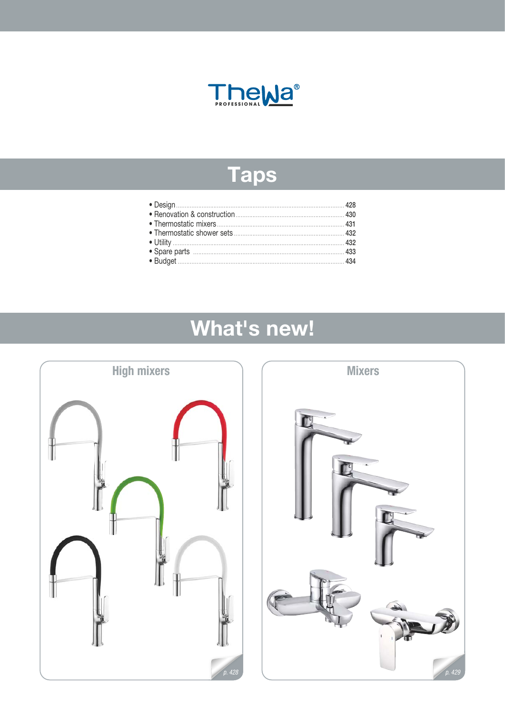

# **Taps**

# What's new!



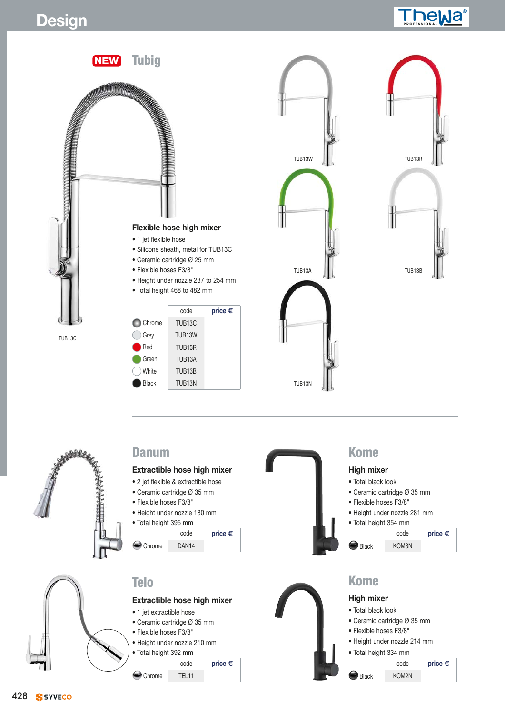# **Design Professional** *PROFESSION*





### **Danum**

#### **Extractible hose high mixer**

- 2 jet flexible & extractible hose
- Ceramic cartridge Ø 35 mm
- Flexible hoses F3/8"
- Height under nozzle 180 mm

```
• Total height 395 mm
```
code **price €** Chrome DAN14



#### **Extractible hose high mixer**

- 1 jet extractible hose
- Ceramic cartridge Ø 35 mm
- Flexible hoses F3/8"
- Height under nozzle 210 mm
- Total height 392 mm

```
code price €
Chrome | TEL11
```


### **Kome**

#### **High mixer**

- Total black look
- Ceramic cartridge Ø 35 mm
- Flexible hoses F3/8"
- Height under nozzle 281 mm
- Total height 354 mm
- 





- -
- Ceramic cartridge Ø 35 mm
- Flexible hoses F3/8"
- Height under nozzle 214 mm
- Total height 334 mm
- code **price €** Black KOM2N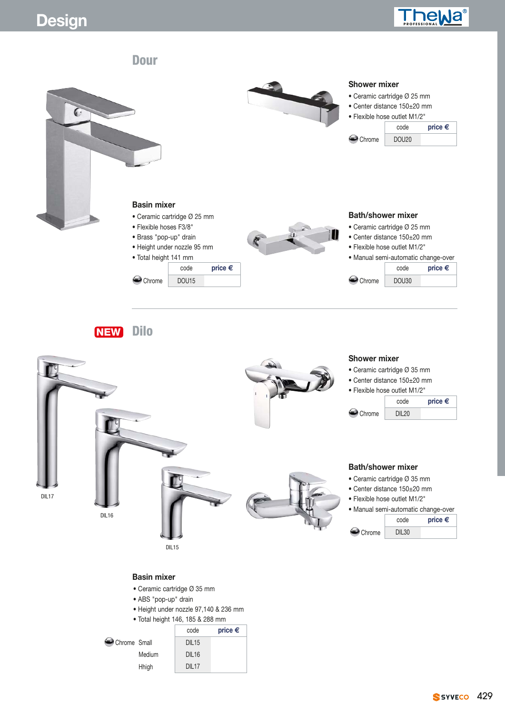



**NEW Dilo**



#### **Basin mixer**

- Ceramic cartridge Ø 35 mm
- ABS "pop-up" drain
- Height under nozzle 97,140 & 236 mm
- Total height 146, 185 & 288 mm

|              |        | code              | price $\epsilon$ |  |  |
|--------------|--------|-------------------|------------------|--|--|
| Chrome Small |        | DIL <sub>15</sub> |                  |  |  |
|              | Medium | DIL <sub>16</sub> |                  |  |  |
|              | Hhigh  | <b>DII 17</b>     |                  |  |  |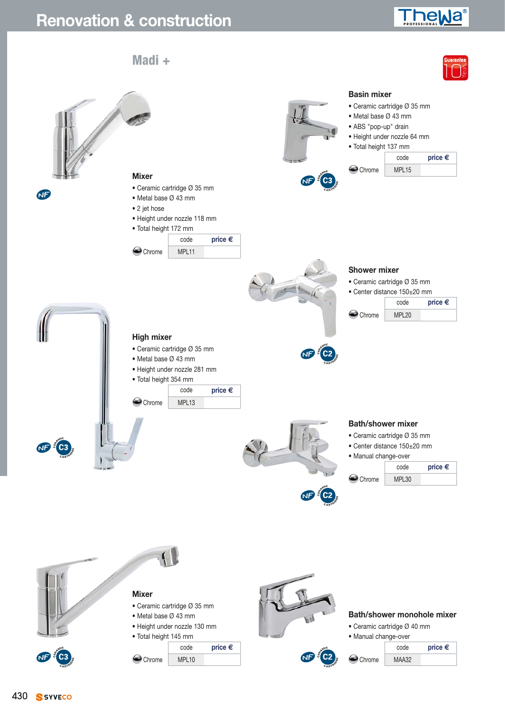## **Renovation & construction PROFESSIONALLY**

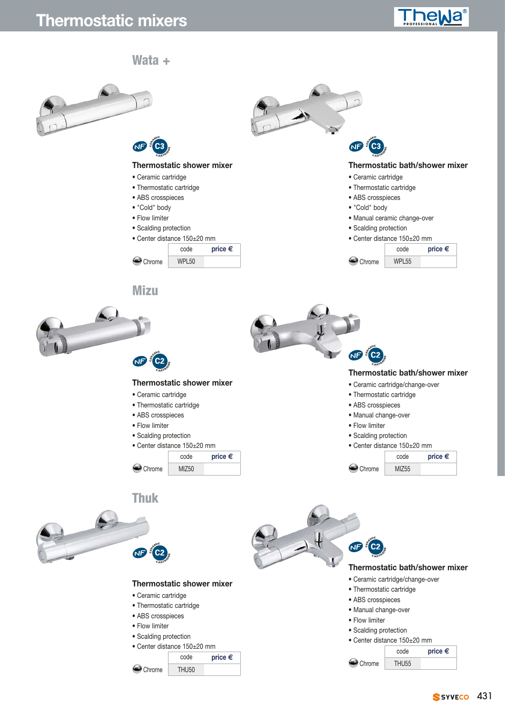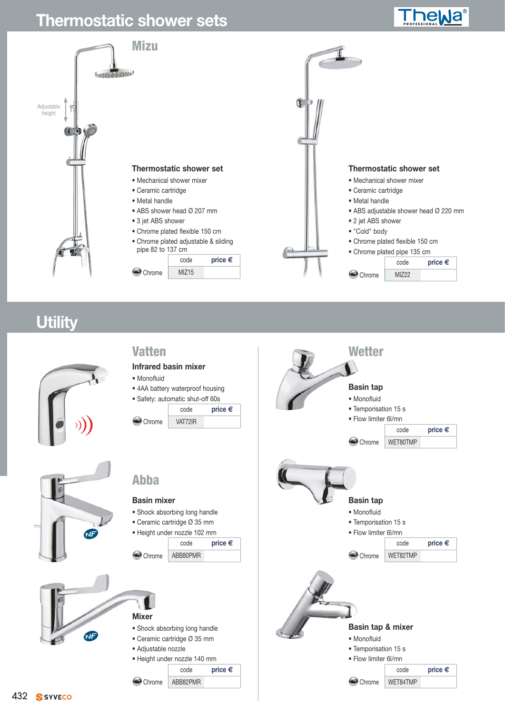## **Thermostatic shower sets PROFESSIONAL PROFESSIONAL PROFESSIONAL PROFESSIONAL PROFESSIONAL PROFESSIONAL PROFESSIONAL PROFESSIONAL PROFESSIONAL PROFESSIONAL PROFESSIONAL PROFESSIONAL PROFESSIONAL PROFESSIONAL PROFESSIONAL**



## **Utility**

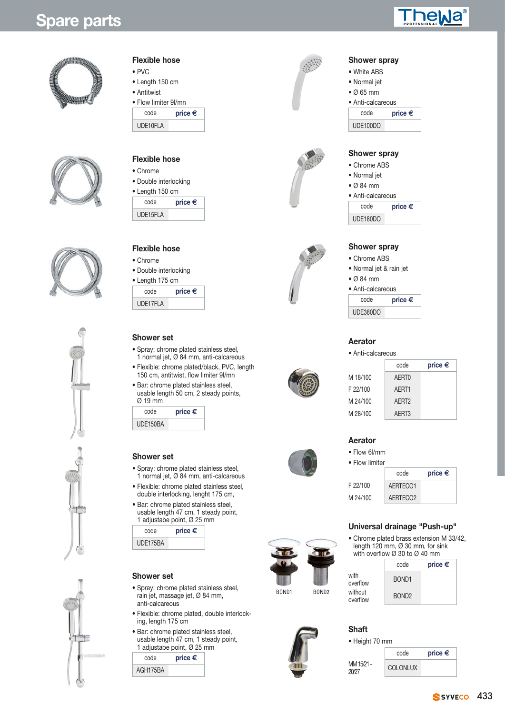## Ja











### **Flexible hose**

- PVC
- Length 150 cm
- Antitwist
- Flow limiter 9l/mn

| price $\epsilon$ |
|------------------|
|                  |
|                  |

#### **Flexible hose**

- Chrome
- Double interlocking
- Length 150 cm code **price €**

| coue     | hing c |
|----------|--------|
| UDE15FLA |        |
|          |        |

#### **Flexible hose**

- Chrome
- Double interlocking
- Length 175 cm code **price €**

| <b>UUUU</b> | <b>DIING C</b> |
|-------------|----------------|
| UDE17FLA    |                |

### **Shower set**

- Spray: chrome plated stainless steel, 1 normal jet, Ø 84 mm, anti-calcareous
- Flexible: chrome plated/black, PVC, length 150 cm, antitwist, flow limiter 9l/mn
- Bar: chrome plated stainless steel, usable length 50 cm, 2 steady points, Ø 19 mm

| price $\epsilon$ |
|------------------|
|                  |
|                  |

#### **Shower set**

- Spray: chrome plated stainless steel, 1 normal jet, Ø 84 mm, anti-calcareous
- Flexible: chrome plated stainless steel, double interlocking, lenght 175 cm,
- Bar: chrome plated stainless steel, usable length 47 cm, 1 steady point, 1 adjustabe point, Ø 25 mm

| code     | price $\epsilon$ |
|----------|------------------|
| UDE175BA |                  |

#### **Shower set**

- Spray: chrome plated stainless steel, rain jet, massage jet, Ø 84 mm, anti-calcareous
- Flexible: chrome plated, double interlocking, length 175 cm
- Bar: chrome plated stainless steel, usable length 47 cm, 1 steady point, 1 adjustabe point, Ø 25 mm

|          | $\sim$ and $\sim$ and $\sim$ being $\sim$ = $\sim$ $\sim$ |  |
|----------|-----------------------------------------------------------|--|
| code     | price $\epsilon$                                          |  |
| AGH175BA |                                                           |  |
|          |                                                           |  |













#### • Ø 65 mm • Anti-calcareous

**Shower spray** • White ABS • Normal jet

code **price €** UDE100DO

#### **Shower spray**

#### • Chrome ABS

- Normal jet
- Ø 84 mm

• Anti-calcareous

| code     | price $\epsilon$ |
|----------|------------------|
| UDE180DO |                  |

#### **Shower spray**

- Chrome ABS
- Normal jet & rain jet
- Ø 84 mm

#### • Anti-calcareous

| code     | price $\epsilon$ |
|----------|------------------|
| UDE380DO |                  |

#### **Aerator**

#### • Anti-calcareous

|          | code              | price $\epsilon$ |
|----------|-------------------|------------------|
| M 18/100 | AFRT <sub>0</sub> |                  |
| F 22/100 | AFRT1             |                  |
| M 24/100 | AFRT <sub>2</sub> |                  |
| M 28/100 | AFRT3             |                  |



#### **Aerator** • Flow 6l/mm

- 
- Flow limiter code **price €** F 22/100 AERTECO1 M 24/100 AERTECO2

### **Universal drainage "Push-up"**

• Chrome plated brass extension M 33/42, length 120 mm, Ø 30 mm, for sink with overflow  $\varnothing$  30 to  $\varnothing$  40 mm

|       |                   |                     | code              | price $\epsilon$ |
|-------|-------------------|---------------------|-------------------|------------------|
|       |                   | with<br>overflow    | BOND <sub>1</sub> |                  |
| BOND1 | BOND <sub>2</sub> | without<br>overflow | BOND <sub>2</sub> |                  |

#### **Shaft**

#### • Height 70 mm

MM 15/21 - 20/27

| code            | price $\epsilon$ |
|-----------------|------------------|
| <b>COLONLUX</b> |                  |